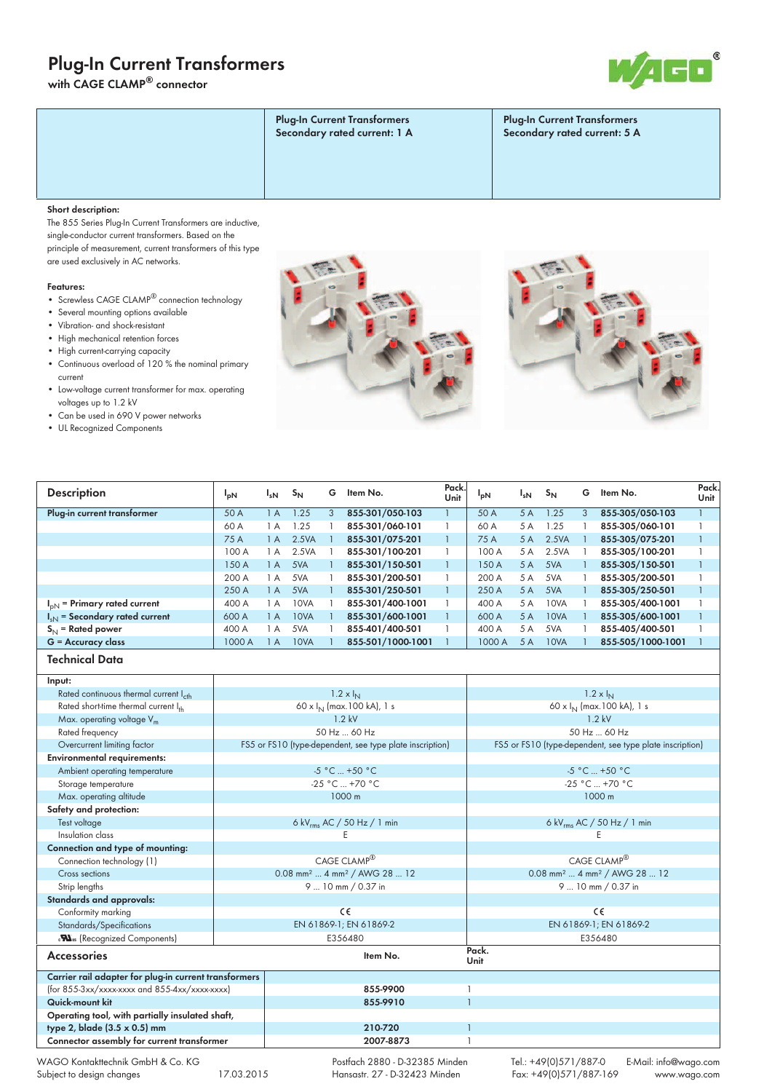# **Plug-In Current Transformers**

**with CAGE CLAMP® connector**



| <b>Plug-In Current Transformers</b><br>Secondary rated current: 1 A | <b>Plug-In Current Transformers</b><br>Secondary rated current: 5 A |
|---------------------------------------------------------------------|---------------------------------------------------------------------|
|                                                                     |                                                                     |

### **Short description:**

The 855 Series Plug-In Current Transformers are inductive, single-conductor current transformers. Based on the principle of measurement, current transformers of this type are used exclusively in AC networks.

#### **Features:**

- Screwless CAGE CLAMP® connection technology
- Several mounting options available
- Vibration- and shock-resistant
- High mechanical retention forces
- High current-carrying capacity
- Continuous overload of 120 % the nominal primary current
- Low-voltage current transformer for max. operating voltages up to 1.2 kV
- Can be used in 690 V power networks
- UL Recognized Components





| <b>Description</b>                                    | $I_{pN}$                                                 | $I_{sN}$                 | $S_{N}$                 | G            | ltem No.                                            | Pack.<br>Unit | $I_{pN}$                                            | $I_{sN}$                                                 | $S_{N}$                  |              | G Item No.              | Pack.<br>Unit |  |  |
|-------------------------------------------------------|----------------------------------------------------------|--------------------------|-------------------------|--------------|-----------------------------------------------------|---------------|-----------------------------------------------------|----------------------------------------------------------|--------------------------|--------------|-------------------------|---------------|--|--|
| Plug-in current transformer                           | 50 A                                                     | 1A                       | 1.25                    | 3            | 855-301/050-103                                     |               | 50 A                                                | 5 A                                                      | 1.25                     | 3            | 855-305/050-103         | $\mathbf{1}$  |  |  |
|                                                       | 60 A                                                     | 1A                       | 1.25                    | $\mathbf{1}$ | 855-301/060-101                                     | 1             | 60 A                                                | 5 A                                                      | 1.25                     | 1            | 855-305/060-101         | $\mathbf{1}$  |  |  |
|                                                       | 75 A                                                     | 1A                       | 2.5VA                   | $\mathbf{1}$ | 855-301/075-201                                     | $\mathbf{1}$  | 75 A                                                | 5A                                                       | 2.5VA                    | $\mathbf{1}$ | 855-305/075-201         | $\mathbf{1}$  |  |  |
|                                                       | 100 A                                                    | 1A                       | 2.5VA                   | $\mathbf{1}$ | 855-301/100-201                                     |               | 100 A                                               | 5 A                                                      | 2.5VA                    | $\mathbf{1}$ | 855-305/100-201         | $\mathbf{1}$  |  |  |
|                                                       | 150 A                                                    | 1A                       | 5VA                     | $\mathbf{1}$ | 855-301/150-501                                     | $\mathbf{1}$  | 150 A                                               | 5A                                                       | 5VA                      | $\mathbf{1}$ | 855-305/150-501         | $\mathbf{1}$  |  |  |
|                                                       | 200 A                                                    | 1A                       | 5VA                     | $\mathbf{1}$ | 855-301/200-501                                     | $\mathbf{1}$  | 200 A                                               | 5 A                                                      | 5VA                      | $\mathbf{1}$ | 855-305/200-501         | $\mathbf{1}$  |  |  |
|                                                       | 250 A                                                    | 1A                       | 5VA                     | $\mathbf{1}$ | 855-301/250-501                                     |               | 250 A                                               | 5 A                                                      | 5VA                      | $\mathbf{1}$ | 855-305/250-501         | $\mathbf{1}$  |  |  |
| $I_{pN}$ = Primary rated current                      | 400 A                                                    | 1 A                      | 10VA                    | $\mathbf{1}$ | 855-301/400-1001                                    | 1             | 400 A                                               | 5 A                                                      | 10VA                     | $\mathbf{1}$ | 855-305/400-1001        | $\mathbf{1}$  |  |  |
| $I_{sN}$ = Secondary rated current                    | 600 A                                                    | 1A                       | 10VA                    | $\mathbf{1}$ | 855-301/600-1001                                    | $\mathbf{1}$  | 600 A                                               | 5 A                                                      | 10VA                     | $\mathbf{1}$ | 855-305/600-1001        | $\mathbf{1}$  |  |  |
| $S_N$ = Rated power                                   | 400 A                                                    | 1 A                      | 5VA                     | $\mathbf{1}$ | 855-401/400-501                                     | 1             | 400 A                                               | 5 A                                                      | 5VA                      | $\mathbf{1}$ | 855-405/400-501         | $\mathbf{1}$  |  |  |
| $G =$ Accuracy class                                  | 1000 A                                                   | 1A                       | 10VA                    | $\mathbf{1}$ | 855-501/1000-1001                                   |               | 1000 A                                              | 5 A                                                      | 10VA                     | $\mathbf{1}$ | 855-505/1000-1001       | $\mathbf{1}$  |  |  |
| <b>Technical Data</b>                                 |                                                          |                          |                         |              |                                                     |               |                                                     |                                                          |                          |              |                         |               |  |  |
| Input:                                                |                                                          |                          |                         |              |                                                     |               |                                                     |                                                          |                          |              |                         |               |  |  |
| Rated continuous thermal current Icth                 | $1.2 \times I_{N}$                                       |                          |                         |              |                                                     |               |                                                     | $1.2 \times I_{N}$                                       |                          |              |                         |               |  |  |
| Rated short-time thermal current Ith                  | 60 x I <sub>N</sub> (max.100 kA), 1 s                    |                          |                         |              |                                                     |               |                                                     | 60 x I <sub>N</sub> (max. 100 kA), 1 s                   |                          |              |                         |               |  |  |
| Max. operating voltage $V_m$                          | $1.2$ kV                                                 |                          |                         |              |                                                     |               | $1.2$ kV                                            |                                                          |                          |              |                         |               |  |  |
| Rated frequency                                       | 50 Hz  60 Hz                                             |                          |                         |              |                                                     |               | 50 Hz  60 Hz                                        |                                                          |                          |              |                         |               |  |  |
| Overcurrent limiting factor                           | FS5 or FS10 (type-dependent, see type plate inscription) |                          |                         |              |                                                     |               |                                                     | FS5 or FS10 (type-dependent, see type plate inscription) |                          |              |                         |               |  |  |
| <b>Environmental requirements:</b>                    |                                                          |                          |                         |              |                                                     |               |                                                     |                                                          |                          |              |                         |               |  |  |
| Ambient operating temperature                         | $-5 °C$ +50 °C                                           |                          |                         |              |                                                     |               |                                                     | $-5 °C$ +50 °C                                           |                          |              |                         |               |  |  |
| Storage temperature                                   | -25 °C  +70 °C                                           |                          |                         |              |                                                     |               |                                                     | $-25 °C  +70 °C$                                         |                          |              |                         |               |  |  |
| Max. operating altitude                               | 1000 m                                                   |                          |                         |              |                                                     |               |                                                     | 1000 m                                                   |                          |              |                         |               |  |  |
| Safety and protection:                                |                                                          |                          |                         |              |                                                     |               |                                                     |                                                          |                          |              |                         |               |  |  |
| Test voltage                                          | 6 kV <sub>rms</sub> AC / 50 Hz / 1 min                   |                          |                         |              |                                                     |               |                                                     | 6 kV <sub>rms</sub> AC / 50 Hz / 1 min                   |                          |              |                         |               |  |  |
| Insulation class                                      | Ε                                                        |                          |                         |              |                                                     |               |                                                     | E                                                        |                          |              |                         |               |  |  |
| Connection and type of mounting:                      |                                                          |                          |                         |              |                                                     |               |                                                     |                                                          |                          |              |                         |               |  |  |
| Connection technology (1)                             | CAGE CLAMP®                                              |                          |                         |              |                                                     |               |                                                     | CAGE CLAMP®                                              |                          |              |                         |               |  |  |
| Cross sections                                        | 0.08 mm <sup>2</sup> 4 mm <sup>2</sup> / AWG 28  12      |                          |                         |              |                                                     |               | 0.08 mm <sup>2</sup> 4 mm <sup>2</sup> / AWG 28  12 |                                                          |                          |              |                         |               |  |  |
| Strip lengths                                         | 9  10 mm / 0.37 in                                       |                          |                         |              |                                                     |               | 9  10 mm / 0.37 in                                  |                                                          |                          |              |                         |               |  |  |
| Standards and approvals:                              |                                                          |                          |                         |              |                                                     |               |                                                     |                                                          |                          |              |                         |               |  |  |
| Conformity marking                                    | C€                                                       |                          |                         |              |                                                     |               |                                                     | C€                                                       |                          |              |                         |               |  |  |
| Standards/Specifications                              | EN 61869-1; EN 61869-2                                   |                          |                         |              |                                                     |               | EN 61869-1; EN 61869-2                              |                                                          |                          |              |                         |               |  |  |
| <b>Nus</b> (Recognized Components)                    |                                                          |                          | E356480                 |              |                                                     |               |                                                     | E356480                                                  |                          |              |                         |               |  |  |
| <b>Accessories</b>                                    |                                                          |                          | Item No.                |              |                                                     |               |                                                     |                                                          |                          |              |                         |               |  |  |
| Carrier rail adapter for plug-in current transformers |                                                          |                          |                         |              |                                                     |               |                                                     |                                                          |                          |              |                         |               |  |  |
| (for 855-3xx/xxxx-xxxx and 855-4xx/xxxx-xxxx)         |                                                          | 855-9900<br>1            |                         |              |                                                     |               |                                                     |                                                          |                          |              |                         |               |  |  |
| Quick-mount kit                                       |                                                          | $\mathbf{1}$<br>855-9910 |                         |              |                                                     |               |                                                     |                                                          |                          |              |                         |               |  |  |
| Operating tool, with partially insulated shaft,       |                                                          |                          |                         |              |                                                     |               |                                                     |                                                          |                          |              |                         |               |  |  |
| type 2, blade (3.5 x 0.5) mm                          |                                                          |                          | 210-720<br>$\mathbf{1}$ |              |                                                     |               |                                                     |                                                          |                          |              |                         |               |  |  |
| Connector assembly for current transformer            |                                                          |                          |                         |              | 2007-8873                                           |               | 1                                                   |                                                          |                          |              |                         |               |  |  |
| $MACO$ Kontakttoshnik CmhH & Co KC                    |                                                          |                          |                         |              | $D_{\text{outfach}}$ 2880 $D_{\text{22385 Mindon}}$ |               |                                                     |                                                          | $T_0$ . $+10101571/8870$ |              | $F Mail: inf0Qu1q2q2q2$ |               |  |  |

AGO Kontakttechnik GmbH & Co. KG Subject to design changes 17.03.2015

 Postfach 2880 - D-32385 Minden Hansastr. 27 - D-32423 Minden

Tel.: +49(0)571/887-0 E-Mail: info@wago.com Fax: +49(0)571/887-169 www.wago.com